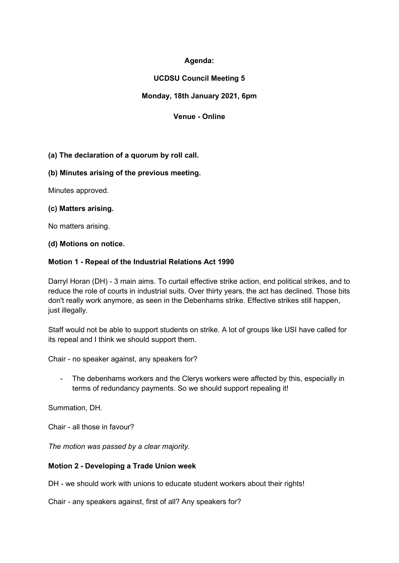# **Agenda:**

# **UCDSU Council Meeting 5**

# **Monday, 18th January 2021, 6pm**

## **Venue - Online**

## **(a) The declaration of a quorum by roll call.**

## **(b) Minutes arising of the previous meeting.**

Minutes approved.

## **(c) Matters arising.**

No matters arising.

#### **(d) Motions on notice.**

## **Motion 1 - Repeal of the Industrial Relations Act 1990**

Darryl Horan (DH) - 3 main aims. To curtail effective strike action, end political strikes, and to reduce the role of courts in industrial suits. Over thirty years, the act has declined. Those bits don't really work anymore, as seen in the Debenhams strike. Effective strikes still happen, just illegally.

Staff would not be able to support students on strike. A lot of groups like USI have called for its repeal and I think we should support them.

Chair - no speaker against, any speakers for?

- The debenhams workers and the Clerys workers were affected by this, especially in terms of redundancy payments. So we should support repealing it!

Summation, DH.

Chair - all those in favour?

*The motion was passed by a clear majority.* 

#### **Motion 2 - Developing a Trade Union week**

DH - we should work with unions to educate student workers about their rights!

Chair - any speakers against, first of all? Any speakers for?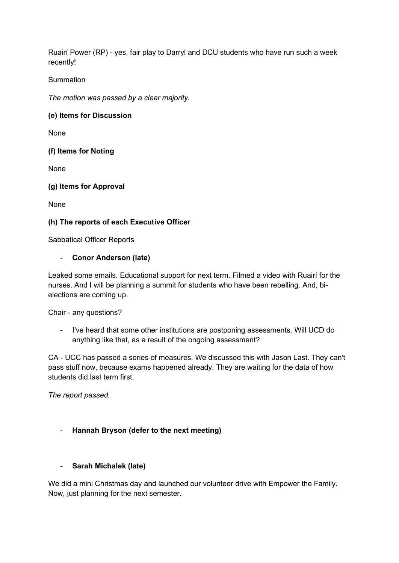Ruairí Power (RP) - yes, fair play to Darryl and DCU students who have run such a week recently!

## **Summation**

*The motion was passed by a clear majority.* 

## **(e) Items for Discussion**

None

## **(f) Items for Noting**

None

#### **(g) Items for Approval**

None

## **(h) The reports of each Executive Officer**

Sabbatical Officer Reports

## - **Conor Anderson (late)**

Leaked some emails. Educational support for next term. Filmed a video with Ruairí for the nurses. And I will be planning a summit for students who have been rebelling. And, bielections are coming up.

Chair - any questions?

- I've heard that some other institutions are postponing assessments. Will UCD do anything like that, as a result of the ongoing assessment?

CA - UCC has passed a series of measures. We discussed this with Jason Last. They can't pass stuff now, because exams happened already. They are waiting for the data of how students did last term first.

*The report passed.*

## - **Hannah Bryson (defer to the next meeting)**

#### - **Sarah Michalek (late)**

We did a mini Christmas day and launched our volunteer drive with Empower the Family. Now, just planning for the next semester.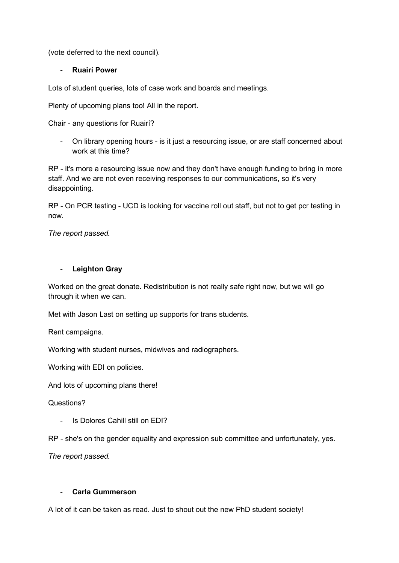(vote deferred to the next council).

## - **Ruairí Power**

Lots of student queries, lots of case work and boards and meetings.

Plenty of upcoming plans too! All in the report.

Chair - any questions for Ruairí?

- On library opening hours - is it just a resourcing issue, or are staff concerned about work at this time?

RP - it's more a resourcing issue now and they don't have enough funding to bring in more staff. And we are not even receiving responses to our communications, so it's very disappointing.

RP - On PCR testing - UCD is looking for vaccine roll out staff, but not to get pcr testing in now.

*The report passed.*

## - **Leighton Gray**

Worked on the great donate. Redistribution is not really safe right now, but we will go through it when we can.

Met with Jason Last on setting up supports for trans students.

Rent campaigns.

Working with student nurses, midwives and radiographers.

Working with EDI on policies.

And lots of upcoming plans there!

Questions?

Is Dolores Cahill still on EDI?

RP - she's on the gender equality and expression sub committee and unfortunately, yes.

*The report passed.*

#### - **Carla Gummerson**

A lot of it can be taken as read. Just to shout out the new PhD student society!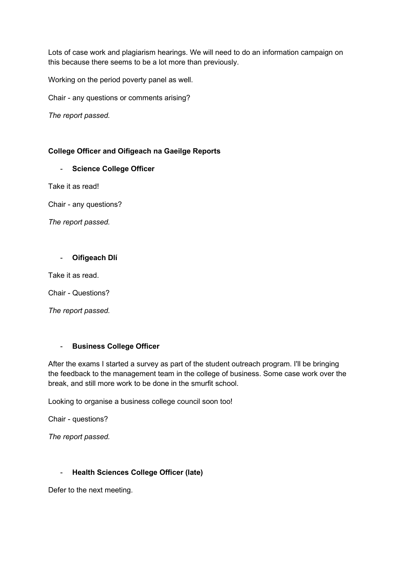Lots of case work and plagiarism hearings. We will need to do an information campaign on this because there seems to be a lot more than previously.

Working on the period poverty panel as well.

Chair - any questions or comments arising?

*The report passed.*

## **College Officer and Oifigeach na Gaeilge Reports**

## - **Science College Officer**

Take it as read!

Chair - any questions?

*The report passed.*

## - **Oifigeach Dlí**

Take it as read.

Chair - Questions?

*The report passed.*

## - **Business College Officer**

After the exams I started a survey as part of the student outreach program. I'll be bringing the feedback to the management team in the college of business. Some case work over the break, and still more work to be done in the smurfit school.

Looking to organise a business college council soon too!

Chair - questions?

*The report passed.*

## - **Health Sciences College Officer (late)**

Defer to the next meeting.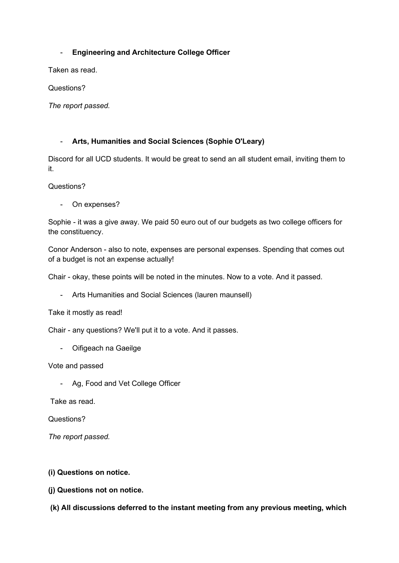## - **Engineering and Architecture College Officer**

Taken as read.

Questions?

*The report passed.*

#### - **Arts, Humanities and Social Sciences (Sophie O'Leary)**

Discord for all UCD students. It would be great to send an all student email, inviting them to it.

Questions?

- On expenses?

Sophie - it was a give away. We paid 50 euro out of our budgets as two college officers for the constituency.

Conor Anderson - also to note, expenses are personal expenses. Spending that comes out of a budget is not an expense actually!

Chair - okay, these points will be noted in the minutes. Now to a vote. And it passed.

- Arts Humanities and Social Sciences (lauren maunsell)

Take it mostly as read!

Chair - any questions? We'll put it to a vote. And it passes.

- Oifigeach na Gaeilge

Vote and passed

- Ag, Food and Vet College Officer

Take as read.

Questions?

*The report passed.*

**(i) Questions on notice.**

**(j) Questions not on notice.**

**(k) All discussions deferred to the instant meeting from any previous meeting, which**